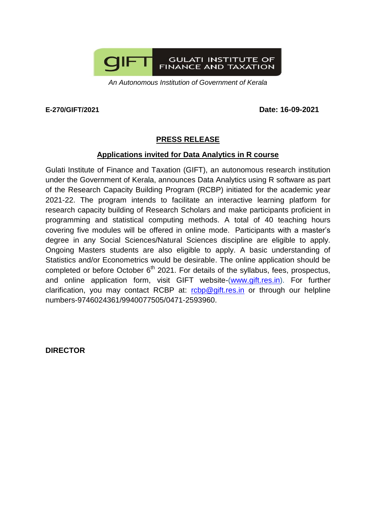

*An Autonomous Institution of Government of Kerala*

**E-270/GIFT/2021 Date: 16-09-2021**

## **PRESS RELEASE**

## **Applications invited for Data Analytics in R course**

Gulati Institute of Finance and Taxation (GIFT), an autonomous research institution under the Government of Kerala, announces Data Analytics using R software as part of the Research Capacity Building Program (RCBP) initiated for the academic year 2021-22. The program intends to facilitate an interactive learning platform for research capacity building of Research Scholars and make participants proficient in programming and statistical computing methods. A total of 40 teaching hours covering five modules will be offered in online mode. Participants with a master's degree in any Social Sciences/Natural Sciences discipline are eligible to apply. Ongoing Masters students are also eligible to apply. A basic understanding of Statistics and/or Econometrics would be desirable. The online application should be completed or before October  $6<sup>th</sup>$  2021. For details of the syllabus, fees, prospectus, and online application form, visit GIFT website-[\(www.gift.res.in\)](http://www.gift.res.in/). For further clarification, you may contact RCBP at: [rcbp@gift.res.in](mailto:rcbp@gift.res.in) or through our helpline numbers-9746024361/9940077505/0471-2593960.

**DIRECTOR**